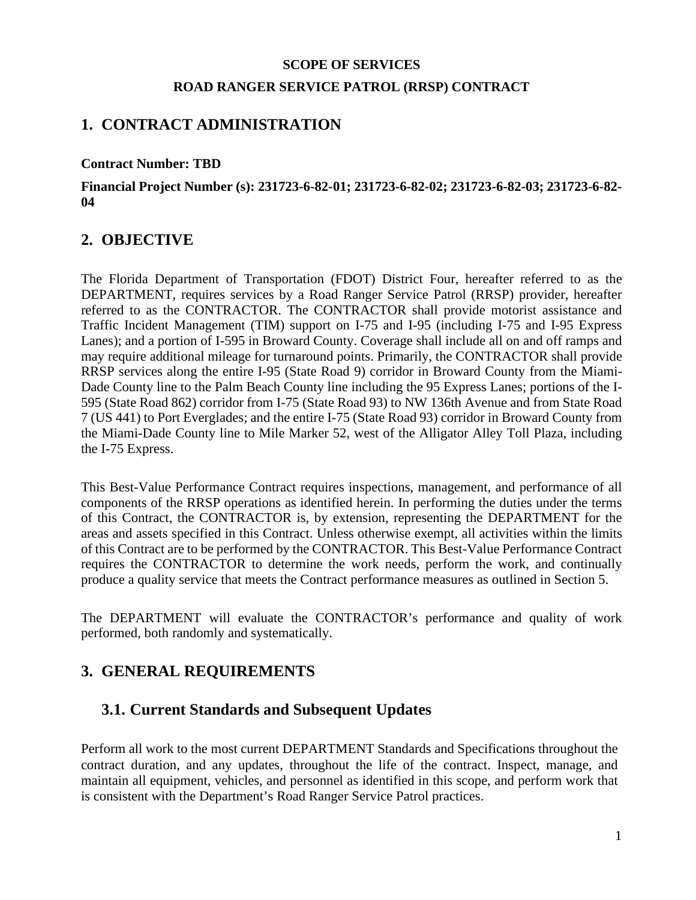#### **SCOPE OF SERVICES**

#### **ROAD RANGER SERVICE PATROL (RRSP) CONTRACT**

#### **1. CONTRACT ADMINISTRATION**

#### **Contract Number: TBD**

#### **Financial Project Number (s): 231723-6-82-01; 231723-6-82-02; 231723-6-82-03; 231723-6-82- 04**

#### **2. OBJECTIVE**

The Florida Department of Transportation (FDOT) District Four, hereafter referred to as the DEPARTMENT, requires services by a Road Ranger Service Patrol (RRSP) provider, hereafter referred to as the CONTRACTOR. The CONTRACTOR shall provide motorist assistance and Traffic Incident Management (TIM) support on I-75 and I-95 (including I-75 and I-95 Express Lanes); and a portion of I-595 in Broward County. Coverage shall include all on and off ramps and may require additional mileage for turnaround points. Primarily, the CONTRACTOR shall provide RRSP services along the entire I-95 (State Road 9) corridor in Broward County from the Miami-Dade County line to the Palm Beach County line including the 95 Express Lanes; portions of the I-595 (State Road 862) corridor from I-75 (State Road 93) to NW 136th Avenue and from State Road 7 (US 441) to Port Everglades; and the entire I-75 (State Road 93) corridor in Broward County from the Miami-Dade County line to Mile Marker 52, west of the Alligator Alley Toll Plaza, including the I-75 Express.

This Best-Value Performance Contract requires inspections, management, and performance of all components of the RRSP operations as identified herein. In performing the duties under the terms of this Contract, the CONTRACTOR is, by extension, representing the DEPARTMENT for the areas and assets specified in this Contract. Unless otherwise exempt, all activities within the limits of this Contract are to be performed by the CONTRACTOR. This Best-Value Performance Contract requires the CONTRACTOR to determine the work needs, perform the work, and continually produce a quality service that meets the Contract performance measures as outlined in Section 5.

The DEPARTMENT will evaluate the CONTRACTOR's performance and quality of work performed, both randomly and systematically.

#### **3. GENERAL REQUIREMENTS**

#### **3.1. Current Standards and Subsequent Updates**

Perform all work to the most current DEPARTMENT Standards and Specifications throughout the contract duration, and any updates, throughout the life of the contract. Inspect, manage, and maintain all equipment, vehicles, and personnel as identified in this scope, and perform work that is consistent with the Department's Road Ranger Service Patrol practices.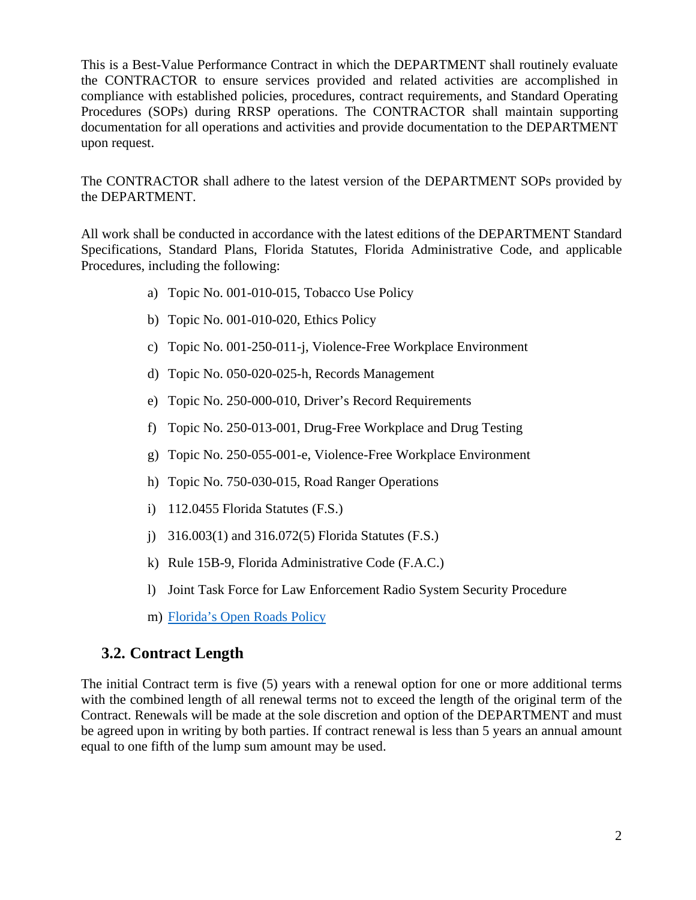This is a Best-Value Performance Contract in which the DEPARTMENT shall routinely evaluate the CONTRACTOR to ensure services provided and related activities are accomplished in compliance with established policies, procedures, contract requirements, and Standard Operating Procedures (SOPs) during RRSP operations. The CONTRACTOR shall maintain supporting documentation for all operations and activities and provide documentation to the DEPARTMENT upon request.

The CONTRACTOR shall adhere to the latest version of the DEPARTMENT SOPs provided by the DEPARTMENT.

All work shall be conducted in accordance with the latest editions of the DEPARTMENT Standard Specifications, Standard Plans, Florida Statutes, Florida Administrative Code, and applicable Procedures, including the following:

- a) Topic No. 001-010-015, Tobacco Use Policy
- b) Topic No. 001-010-020, Ethics Policy
- c) Topic No. 001-250-011-j, Violence-Free Workplace Environment
- d) Topic No. 050-020-025-h, Records Management
- e) Topic No. 250-000-010, Driver's Record Requirements
- f) Topic No. 250-013-001, Drug-Free Workplace and Drug Testing
- g) Topic No. 250-055-001-e, Violence-Free Workplace Environment
- h) Topic No. 750-030-015, Road Ranger Operations
- i) 112.0455 Florida Statutes (F.S.)
- j) 316.003(1) and 316.072(5) Florida Statutes (F.S.)
- k) Rule 15B-9, Florida Administrative Code (F.A.C.)
- l) Joint Task Force for Law Enforcement Radio System Security Procedure
- m) [Florida's Open Roads Policy](http://www.floridatim.com/documents/Training/Open%20Roads%20Policy.pdf)

#### **3.2. Contract Length**

The initial Contract term is five (5) years with a renewal option for one or more additional terms with the combined length of all renewal terms not to exceed the length of the original term of the Contract. Renewals will be made at the sole discretion and option of the DEPARTMENT and must be agreed upon in writing by both parties. If contract renewal is less than 5 years an annual amount equal to one fifth of the lump sum amount may be used.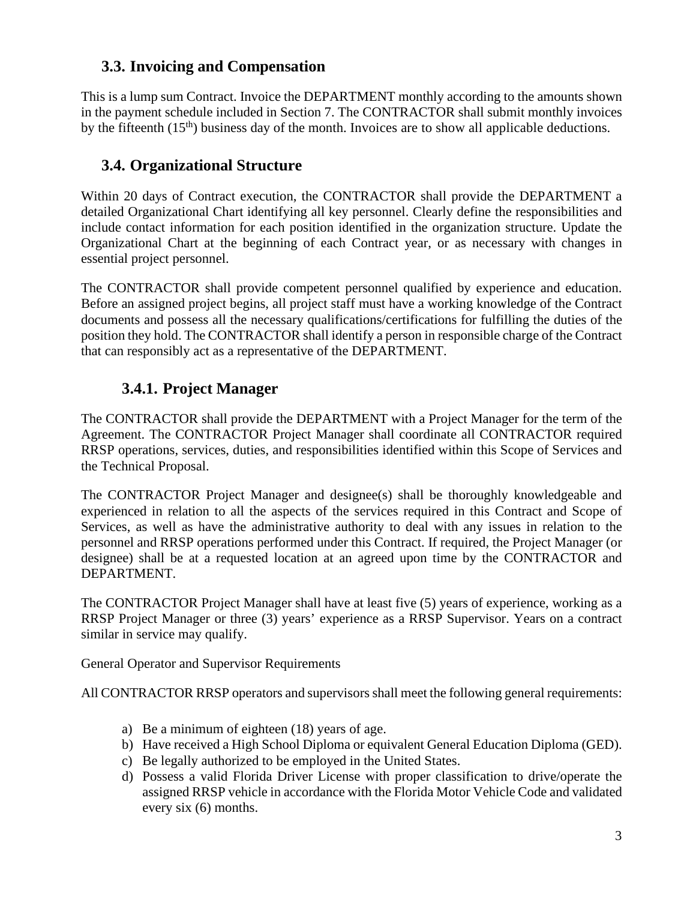#### **3.3. Invoicing and Compensation**

This is a lump sum Contract. Invoice the DEPARTMENT monthly according to the amounts shown in the payment schedule included in Section 7. The CONTRACTOR shall submit monthly invoices by the fifteenth  $(15<sup>th</sup>)$  business day of the month. Invoices are to show all applicable deductions.

## **3.4. Organizational Structure**

Within 20 days of Contract execution, the CONTRACTOR shall provide the DEPARTMENT a detailed Organizational Chart identifying all key personnel. Clearly define the responsibilities and include contact information for each position identified in the organization structure. Update the Organizational Chart at the beginning of each Contract year, or as necessary with changes in essential project personnel.

The CONTRACTOR shall provide competent personnel qualified by experience and education. Before an assigned project begins, all project staff must have a working knowledge of the Contract documents and possess all the necessary qualifications/certifications for fulfilling the duties of the position they hold. The CONTRACTOR shall identify a person in responsible charge of the Contract that can responsibly act as a representative of the DEPARTMENT.

## **3.4.1. Project Manager**

The CONTRACTOR shall provide the DEPARTMENT with a Project Manager for the term of the Agreement. The CONTRACTOR Project Manager shall coordinate all CONTRACTOR required RRSP operations, services, duties, and responsibilities identified within this Scope of Services and the Technical Proposal.

The CONTRACTOR Project Manager and designee(s) shall be thoroughly knowledgeable and experienced in relation to all the aspects of the services required in this Contract and Scope of Services, as well as have the administrative authority to deal with any issues in relation to the personnel and RRSP operations performed under this Contract. If required, the Project Manager (or designee) shall be at a requested location at an agreed upon time by the CONTRACTOR and DEPARTMENT.

The CONTRACTOR Project Manager shall have at least five (5) years of experience, working as a RRSP Project Manager or three (3) years' experience as a RRSP Supervisor. Years on a contract similar in service may qualify.

General Operator and Supervisor Requirements

All CONTRACTOR RRSP operators and supervisors shall meet the following general requirements:

- a) Be a minimum of eighteen (18) years of age.
- b) Have received a High School Diploma or equivalent General Education Diploma (GED).
- c) Be legally authorized to be employed in the United States.
- d) Possess a valid Florida Driver License with proper classification to drive/operate the assigned RRSP vehicle in accordance with the Florida Motor Vehicle Code and validated every six (6) months.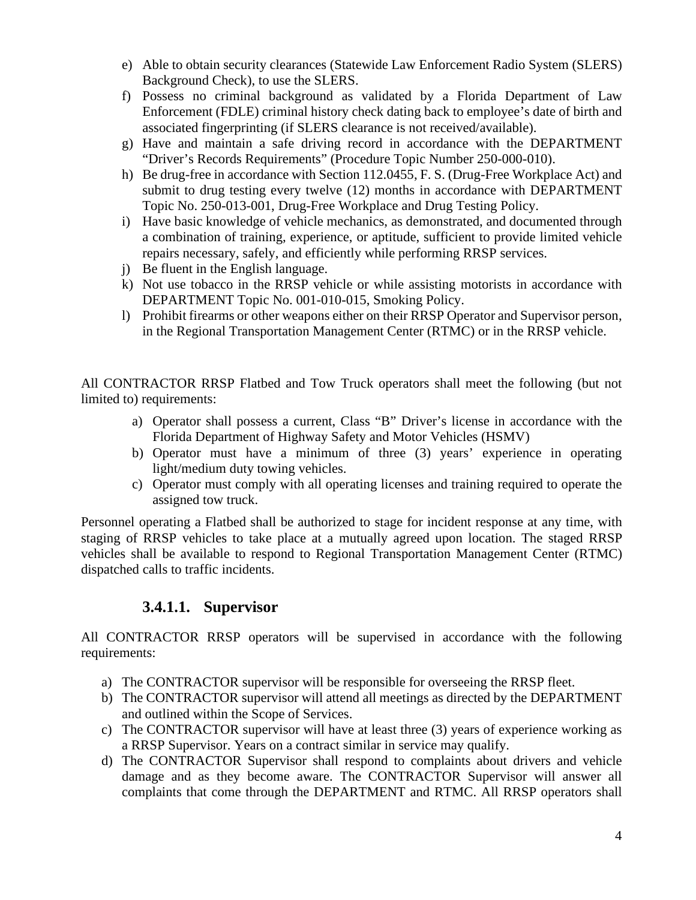- e) Able to obtain security clearances (Statewide Law Enforcement Radio System (SLERS) Background Check), to use the SLERS.
- f) Possess no criminal background as validated by a Florida Department of Law Enforcement (FDLE) criminal history check dating back to employee's date of birth and associated fingerprinting (if SLERS clearance is not received/available).
- g) Have and maintain a safe driving record in accordance with the DEPARTMENT "Driver's Records Requirements" (Procedure Topic Number 250-000-010).
- h) Be drug-free in accordance with Section 112.0455, F. S. (Drug-Free Workplace Act) and submit to drug testing every twelve (12) months in accordance with DEPARTMENT Topic No. 250-013-001, Drug-Free Workplace and Drug Testing Policy.
- i) Have basic knowledge of vehicle mechanics, as demonstrated, and documented through a combination of training, experience, or aptitude, sufficient to provide limited vehicle repairs necessary, safely, and efficiently while performing RRSP services.
- j) Be fluent in the English language.
- k) Not use tobacco in the RRSP vehicle or while assisting motorists in accordance with DEPARTMENT Topic No. 001-010-015, Smoking Policy.
- l) Prohibit firearms or other weapons either on their RRSP Operator and Supervisor person, in the Regional Transportation Management Center (RTMC) or in the RRSP vehicle.

All CONTRACTOR RRSP Flatbed and Tow Truck operators shall meet the following (but not limited to) requirements:

- a) Operator shall possess a current, Class "B" Driver's license in accordance with the Florida Department of Highway Safety and Motor Vehicles (HSMV)
- b) Operator must have a minimum of three (3) years' experience in operating light/medium duty towing vehicles.
- c) Operator must comply with all operating licenses and training required to operate the assigned tow truck.

Personnel operating a Flatbed shall be authorized to stage for incident response at any time, with staging of RRSP vehicles to take place at a mutually agreed upon location. The staged RRSP vehicles shall be available to respond to Regional Transportation Management Center (RTMC) dispatched calls to traffic incidents.

#### **3.4.1.1. Supervisor**

All CONTRACTOR RRSP operators will be supervised in accordance with the following requirements:

- a) The CONTRACTOR supervisor will be responsible for overseeing the RRSP fleet.
- b) The CONTRACTOR supervisor will attend all meetings as directed by the DEPARTMENT and outlined within the Scope of Services.
- c) The CONTRACTOR supervisor will have at least three (3) years of experience working as a RRSP Supervisor. Years on a contract similar in service may qualify.
- d) The CONTRACTOR Supervisor shall respond to complaints about drivers and vehicle damage and as they become aware. The CONTRACTOR Supervisor will answer all complaints that come through the DEPARTMENT and RTMC. All RRSP operators shall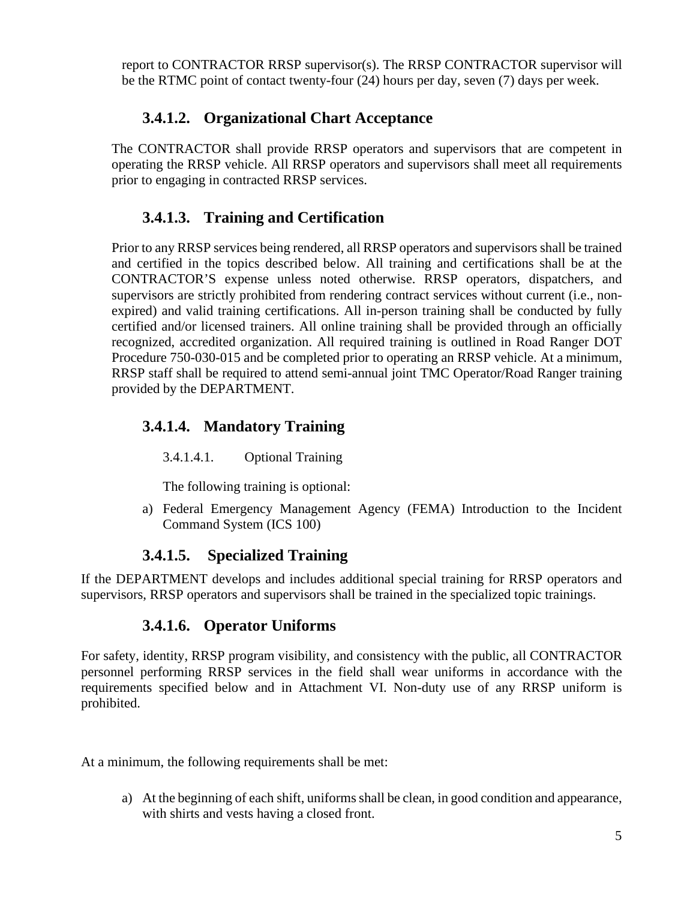report to CONTRACTOR RRSP supervisor(s). The RRSP CONTRACTOR supervisor will be the RTMC point of contact twenty-four (24) hours per day, seven (7) days per week.

#### **3.4.1.2. Organizational Chart Acceptance**

The CONTRACTOR shall provide RRSP operators and supervisors that are competent in operating the RRSP vehicle. All RRSP operators and supervisors shall meet all requirements prior to engaging in contracted RRSP services.

## **3.4.1.3. Training and Certification**

Prior to any RRSP services being rendered, all RRSP operators and supervisors shall be trained and certified in the topics described below. All training and certifications shall be at the CONTRACTOR'S expense unless noted otherwise. RRSP operators, dispatchers, and supervisors are strictly prohibited from rendering contract services without current (i.e., nonexpired) and valid training certifications. All in-person training shall be conducted by fully certified and/or licensed trainers. All online training shall be provided through an officially recognized, accredited organization. All required training is outlined in Road Ranger DOT Procedure 750-030-015 and be completed prior to operating an RRSP vehicle. At a minimum, RRSP staff shall be required to attend semi-annual joint TMC Operator/Road Ranger training provided by the DEPARTMENT.

## **3.4.1.4. Mandatory Training**

3.4.1.4.1. Optional Training

The following training is optional:

a) Federal Emergency Management Agency (FEMA) Introduction to the Incident Command System (ICS 100)

## **3.4.1.5. Specialized Training**

If the DEPARTMENT develops and includes additional special training for RRSP operators and supervisors, RRSP operators and supervisors shall be trained in the specialized topic trainings.

## **3.4.1.6. Operator Uniforms**

For safety, identity, RRSP program visibility, and consistency with the public, all CONTRACTOR personnel performing RRSP services in the field shall wear uniforms in accordance with the requirements specified below and in Attachment VI. Non-duty use of any RRSP uniform is prohibited.

At a minimum, the following requirements shall be met:

a) At the beginning of each shift, uniforms shall be clean, in good condition and appearance, with shirts and vests having a closed front.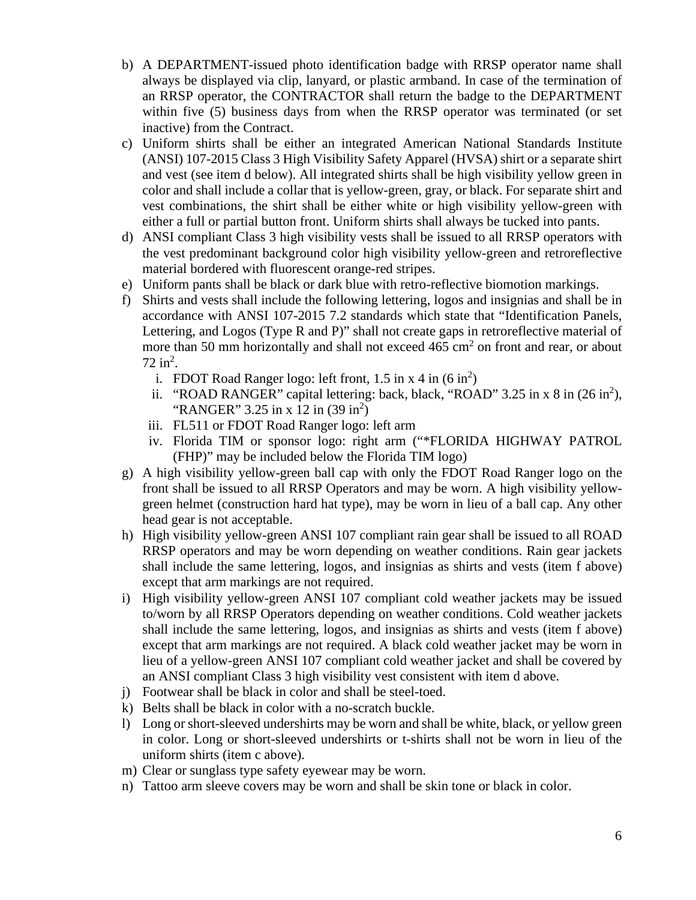- b) A DEPARTMENT-issued photo identification badge with RRSP operator name shall always be displayed via clip, lanyard, or plastic armband. In case of the termination of an RRSP operator, the CONTRACTOR shall return the badge to the DEPARTMENT within five (5) business days from when the RRSP operator was terminated (or set inactive) from the Contract.
- c) Uniform shirts shall be either an integrated American National Standards Institute (ANSI) 107-2015 Class 3 High Visibility Safety Apparel (HVSA) shirt or a separate shirt and vest (see item d below). All integrated shirts shall be high visibility yellow green in color and shall include a collar that is yellow-green, gray, or black. For separate shirt and vest combinations, the shirt shall be either white or high visibility yellow-green with either a full or partial button front. Uniform shirts shall always be tucked into pants.
- d) ANSI compliant Class 3 high visibility vests shall be issued to all RRSP operators with the vest predominant background color high visibility yellow-green and retroreflective material bordered with fluorescent orange-red stripes.
- e) Uniform pants shall be black or dark blue with retro-reflective biomotion markings.
- f) Shirts and vests shall include the following lettering, logos and insignias and shall be in accordance with ANSI 107-2015 7.2 standards which state that "Identification Panels, Lettering, and Logos (Type R and P)" shall not create gaps in retroreflective material of more than 50 mm horizontally and shall not exceed  $465 \text{ cm}^2$  on front and rear, or about  $72 \text{ in}^2$ .
	- i. FDOT Road Ranger logo: left front,  $1.5$  in x 4 in  $(6 \text{ in}^2)$
	- ii. "ROAD RANGER" capital lettering: back, black, "ROAD" 3.25 in x 8 in  $(26 \text{ in}^2)$ , "RANGER" 3.25 in x 12 in  $(39 \text{ in}^2)$
	- iii. FL511 or FDOT Road Ranger logo: left arm
	- iv. Florida TIM or sponsor logo: right arm ("\*FLORIDA HIGHWAY PATROL (FHP)" may be included below the Florida TIM logo)
- g) A high visibility yellow-green ball cap with only the FDOT Road Ranger logo on the front shall be issued to all RRSP Operators and may be worn. A high visibility yellowgreen helmet (construction hard hat type), may be worn in lieu of a ball cap. Any other head gear is not acceptable.
- h) High visibility yellow-green ANSI 107 compliant rain gear shall be issued to all ROAD RRSP operators and may be worn depending on weather conditions. Rain gear jackets shall include the same lettering, logos, and insignias as shirts and vests (item f above) except that arm markings are not required.
- i) High visibility yellow-green ANSI 107 compliant cold weather jackets may be issued to/worn by all RRSP Operators depending on weather conditions. Cold weather jackets shall include the same lettering, logos, and insignias as shirts and vests (item f above) except that arm markings are not required. A black cold weather jacket may be worn in lieu of a yellow-green ANSI 107 compliant cold weather jacket and shall be covered by an ANSI compliant Class 3 high visibility vest consistent with item d above.
- j) Footwear shall be black in color and shall be steel-toed.
- k) Belts shall be black in color with a no-scratch buckle.
- l) Long or short-sleeved undershirts may be worn and shall be white, black, or yellow green in color. Long or short-sleeved undershirts or t-shirts shall not be worn in lieu of the uniform shirts (item c above).
- m) Clear or sunglass type safety eyewear may be worn.
- n) Tattoo arm sleeve covers may be worn and shall be skin tone or black in color.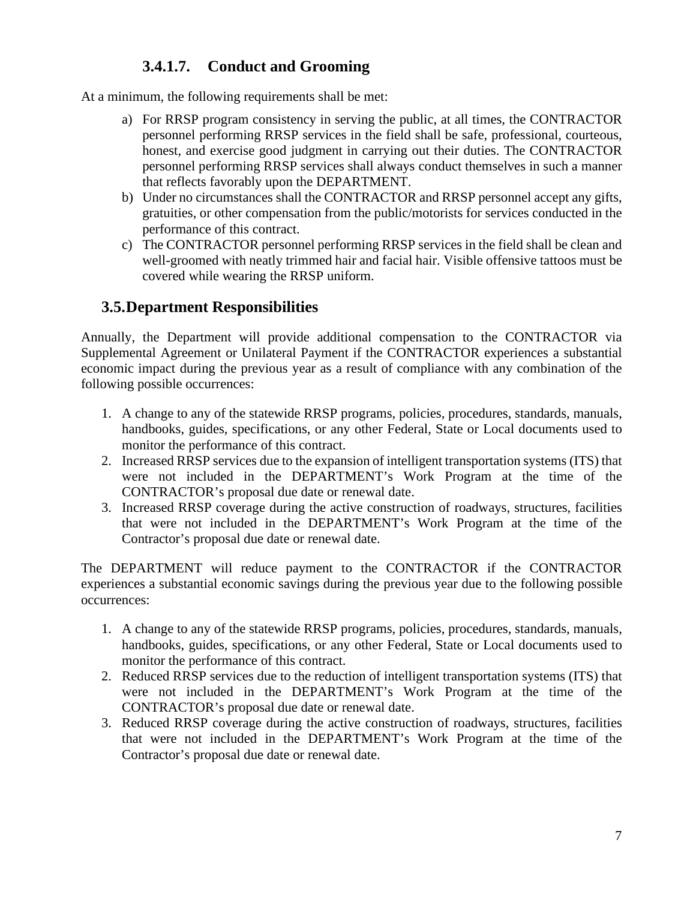## **3.4.1.7. Conduct and Grooming**

At a minimum, the following requirements shall be met:

- a) For RRSP program consistency in serving the public, at all times, the CONTRACTOR personnel performing RRSP services in the field shall be safe, professional, courteous, honest, and exercise good judgment in carrying out their duties. The CONTRACTOR personnel performing RRSP services shall always conduct themselves in such a manner that reflects favorably upon the DEPARTMENT.
- b) Under no circumstances shall the CONTRACTOR and RRSP personnel accept any gifts, gratuities, or other compensation from the public/motorists for services conducted in the performance of this contract.
- c) The CONTRACTOR personnel performing RRSP services in the field shall be clean and well-groomed with neatly trimmed hair and facial hair. Visible offensive tattoos must be covered while wearing the RRSP uniform.

#### **3.5.Department Responsibilities**

Annually, the Department will provide additional compensation to the CONTRACTOR via Supplemental Agreement or Unilateral Payment if the CONTRACTOR experiences a substantial economic impact during the previous year as a result of compliance with any combination of the following possible occurrences:

- 1. A change to any of the statewide RRSP programs, policies, procedures, standards, manuals, handbooks, guides, specifications, or any other Federal, State or Local documents used to monitor the performance of this contract.
- 2. Increased RRSP services due to the expansion of intelligent transportation systems (ITS) that were not included in the DEPARTMENT's Work Program at the time of the CONTRACTOR's proposal due date or renewal date.
- 3. Increased RRSP coverage during the active construction of roadways, structures, facilities that were not included in the DEPARTMENT's Work Program at the time of the Contractor's proposal due date or renewal date.

The DEPARTMENT will reduce payment to the CONTRACTOR if the CONTRACTOR experiences a substantial economic savings during the previous year due to the following possible occurrences:

- 1. A change to any of the statewide RRSP programs, policies, procedures, standards, manuals, handbooks, guides, specifications, or any other Federal, State or Local documents used to monitor the performance of this contract.
- 2. Reduced RRSP services due to the reduction of intelligent transportation systems (ITS) that were not included in the DEPARTMENT's Work Program at the time of the CONTRACTOR's proposal due date or renewal date.
- 3. Reduced RRSP coverage during the active construction of roadways, structures, facilities that were not included in the DEPARTMENT's Work Program at the time of the Contractor's proposal due date or renewal date.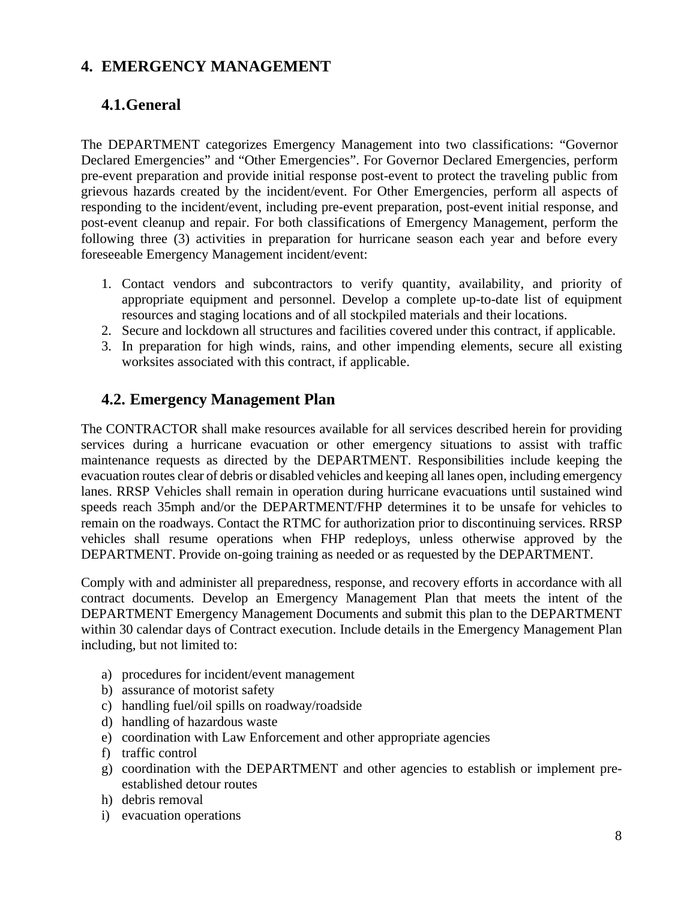## **4. EMERGENCY MANAGEMENT**

## **4.1.General**

The DEPARTMENT categorizes Emergency Management into two classifications: "Governor Declared Emergencies" and "Other Emergencies". For Governor Declared Emergencies, perform pre-event preparation and provide initial response post-event to protect the traveling public from grievous hazards created by the incident/event. For Other Emergencies, perform all aspects of responding to the incident/event, including pre-event preparation, post-event initial response, and post-event cleanup and repair. For both classifications of Emergency Management, perform the following three (3) activities in preparation for hurricane season each year and before every foreseeable Emergency Management incident/event:

- 1. Contact vendors and subcontractors to verify quantity, availability, and priority of appropriate equipment and personnel. Develop a complete up-to-date list of equipment resources and staging locations and of all stockpiled materials and their locations.
- 2. Secure and lockdown all structures and facilities covered under this contract, if applicable.
- 3. In preparation for high winds, rains, and other impending elements, secure all existing worksites associated with this contract, if applicable.

#### **4.2. Emergency Management Plan**

The CONTRACTOR shall make resources available for all services described herein for providing services during a hurricane evacuation or other emergency situations to assist with traffic maintenance requests as directed by the DEPARTMENT. Responsibilities include keeping the evacuation routes clear of debris or disabled vehicles and keeping all lanes open, including emergency lanes. RRSP Vehicles shall remain in operation during hurricane evacuations until sustained wind speeds reach 35mph and/or the DEPARTMENT/FHP determines it to be unsafe for vehicles to remain on the roadways. Contact the RTMC for authorization prior to discontinuing services. RRSP vehicles shall resume operations when FHP redeploys, unless otherwise approved by the DEPARTMENT. Provide on-going training as needed or as requested by the DEPARTMENT.

Comply with and administer all preparedness, response, and recovery efforts in accordance with all contract documents. Develop an Emergency Management Plan that meets the intent of the DEPARTMENT Emergency Management Documents and submit this plan to the DEPARTMENT within 30 calendar days of Contract execution. Include details in the Emergency Management Plan including, but not limited to:

- a) procedures for incident/event management
- b) assurance of motorist safety
- c) handling fuel/oil spills on roadway/roadside
- d) handling of hazardous waste
- e) coordination with Law Enforcement and other appropriate agencies
- f) traffic control
- g) coordination with the DEPARTMENT and other agencies to establish or implement preestablished detour routes
- h) debris removal
- i) evacuation operations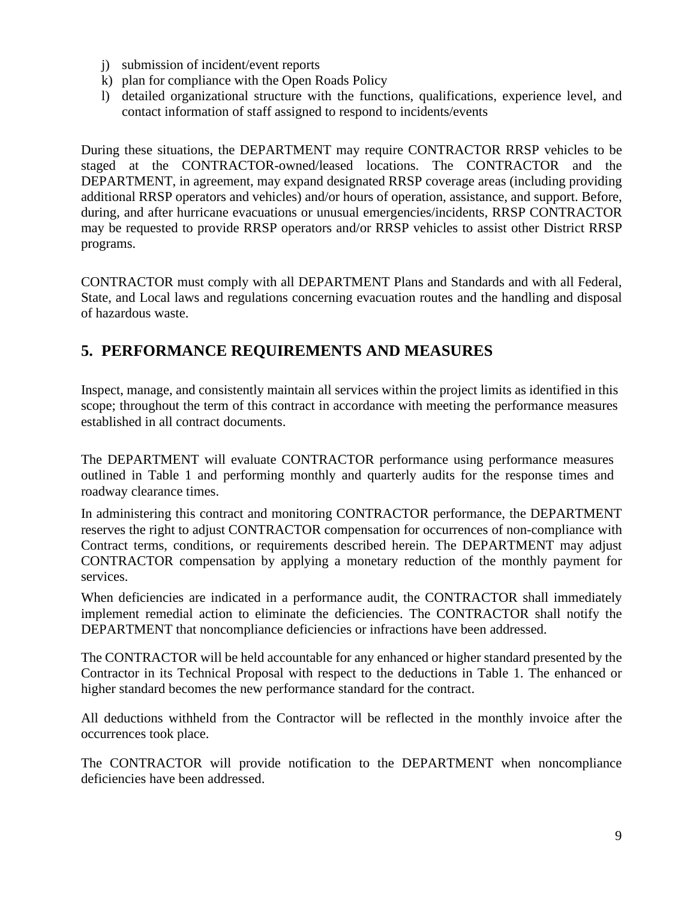- j) submission of incident/event reports
- k) plan for compliance with the Open Roads Policy
- l) detailed organizational structure with the functions, qualifications, experience level, and contact information of staff assigned to respond to incidents/events

During these situations, the DEPARTMENT may require CONTRACTOR RRSP vehicles to be staged at the CONTRACTOR-owned/leased locations. The CONTRACTOR and the DEPARTMENT, in agreement, may expand designated RRSP coverage areas (including providing additional RRSP operators and vehicles) and/or hours of operation, assistance, and support. Before, during, and after hurricane evacuations or unusual emergencies/incidents, RRSP CONTRACTOR may be requested to provide RRSP operators and/or RRSP vehicles to assist other District RRSP programs.

CONTRACTOR must comply with all DEPARTMENT Plans and Standards and with all Federal, State, and Local laws and regulations concerning evacuation routes and the handling and disposal of hazardous waste.

## **5. PERFORMANCE REQUIREMENTS AND MEASURES**

Inspect, manage, and consistently maintain all services within the project limits as identified in this scope; throughout the term of this contract in accordance with meeting the performance measures established in all contract documents.

The DEPARTMENT will evaluate CONTRACTOR performance using performance measures outlined in Table 1 and performing monthly and quarterly audits for the response times and roadway clearance times.

In administering this contract and monitoring CONTRACTOR performance, the DEPARTMENT reserves the right to adjust CONTRACTOR compensation for occurrences of non-compliance with Contract terms, conditions, or requirements described herein. The DEPARTMENT may adjust CONTRACTOR compensation by applying a monetary reduction of the monthly payment for services.

When deficiencies are indicated in a performance audit, the CONTRACTOR shall immediately implement remedial action to eliminate the deficiencies. The CONTRACTOR shall notify the DEPARTMENT that noncompliance deficiencies or infractions have been addressed.

The CONTRACTOR will be held accountable for any enhanced or higher standard presented by the Contractor in its Technical Proposal with respect to the deductions in Table 1. The enhanced or higher standard becomes the new performance standard for the contract.

All deductions withheld from the Contractor will be reflected in the monthly invoice after the occurrences took place.

The CONTRACTOR will provide notification to the DEPARTMENT when noncompliance deficiencies have been addressed.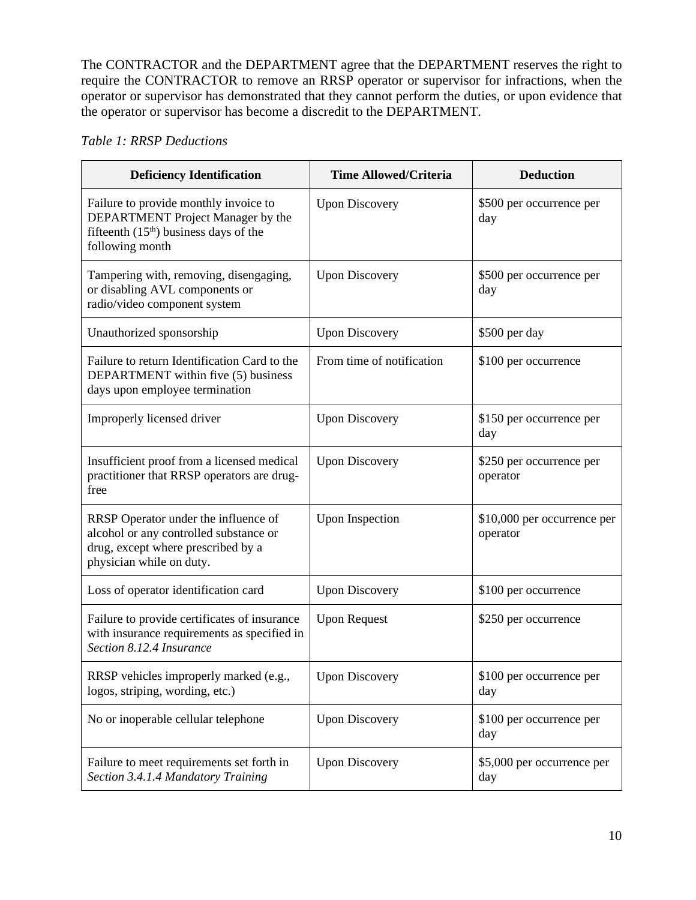The CONTRACTOR and the DEPARTMENT agree that the DEPARTMENT reserves the right to require the CONTRACTOR to remove an RRSP operator or supervisor for infractions, when the operator or supervisor has demonstrated that they cannot perform the duties, or upon evidence that the operator or supervisor has become a discredit to the DEPARTMENT.

#### *Table 1: RRSP Deductions*

| <b>Deficiency Identification</b>                                                                                                                 | <b>Time Allowed/Criteria</b> | <b>Deduction</b>                        |
|--------------------------------------------------------------------------------------------------------------------------------------------------|------------------------------|-----------------------------------------|
| Failure to provide monthly invoice to<br>DEPARTMENT Project Manager by the<br>fifteenth $(15th)$ business days of the<br>following month         | <b>Upon Discovery</b>        | \$500 per occurrence per<br>day         |
| Tampering with, removing, disengaging,<br>or disabling AVL components or<br>radio/video component system                                         | <b>Upon Discovery</b>        | \$500 per occurrence per<br>day         |
| Unauthorized sponsorship                                                                                                                         | <b>Upon Discovery</b>        | \$500 per day                           |
| Failure to return Identification Card to the<br>DEPARTMENT within five (5) business<br>days upon employee termination                            | From time of notification    | \$100 per occurrence                    |
| Improperly licensed driver                                                                                                                       | <b>Upon Discovery</b>        | \$150 per occurrence per<br>day         |
| Insufficient proof from a licensed medical<br>practitioner that RRSP operators are drug-<br>free                                                 | <b>Upon Discovery</b>        | \$250 per occurrence per<br>operator    |
| RRSP Operator under the influence of<br>alcohol or any controlled substance or<br>drug, except where prescribed by a<br>physician while on duty. | <b>Upon Inspection</b>       | \$10,000 per occurrence per<br>operator |
| Loss of operator identification card                                                                                                             | <b>Upon Discovery</b>        | \$100 per occurrence                    |
| Failure to provide certificates of insurance<br>with insurance requirements as specified in<br>Section 8.12.4 Insurance                          | <b>Upon Request</b>          | \$250 per occurrence                    |
| RRSP vehicles improperly marked (e.g.,<br>logos, striping, wording, etc.)                                                                        | <b>Upon Discovery</b>        | \$100 per occurrence per<br>day         |
| No or inoperable cellular telephone                                                                                                              | <b>Upon Discovery</b>        | \$100 per occurrence per<br>day         |
| Failure to meet requirements set forth in<br>Section 3.4.1.4 Mandatory Training                                                                  | <b>Upon Discovery</b>        | \$5,000 per occurrence per<br>day       |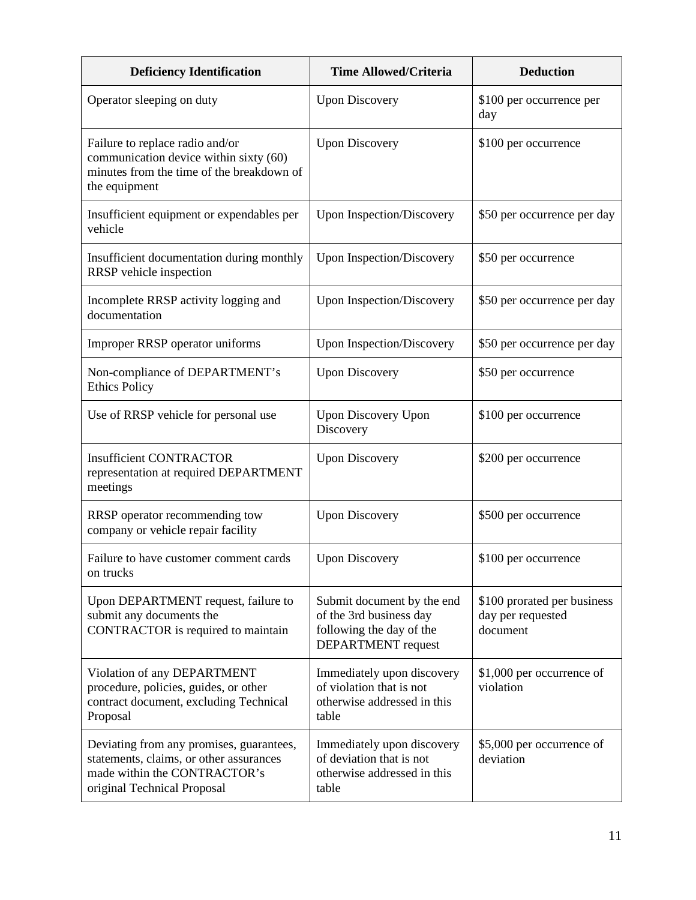| <b>Deficiency Identification</b>                                                                                                                   | <b>Time Allowed/Criteria</b>                                                                                   | <b>Deduction</b>                                             |
|----------------------------------------------------------------------------------------------------------------------------------------------------|----------------------------------------------------------------------------------------------------------------|--------------------------------------------------------------|
| Operator sleeping on duty                                                                                                                          | <b>Upon Discovery</b>                                                                                          | \$100 per occurrence per<br>day                              |
| Failure to replace radio and/or<br>communication device within sixty (60)<br>minutes from the time of the breakdown of<br>the equipment            | <b>Upon Discovery</b>                                                                                          | \$100 per occurrence                                         |
| Insufficient equipment or expendables per<br>vehicle                                                                                               | <b>Upon Inspection/Discovery</b>                                                                               | \$50 per occurrence per day                                  |
| Insufficient documentation during monthly<br>RRSP vehicle inspection                                                                               | <b>Upon Inspection/Discovery</b>                                                                               | \$50 per occurrence                                          |
| Incomplete RRSP activity logging and<br>documentation                                                                                              | Upon Inspection/Discovery                                                                                      | \$50 per occurrence per day                                  |
| Improper RRSP operator uniforms                                                                                                                    | <b>Upon Inspection/Discovery</b>                                                                               | \$50 per occurrence per day                                  |
| Non-compliance of DEPARTMENT's<br><b>Ethics Policy</b>                                                                                             | <b>Upon Discovery</b>                                                                                          | \$50 per occurrence                                          |
| Use of RRSP vehicle for personal use                                                                                                               | <b>Upon Discovery Upon</b><br>Discovery                                                                        | \$100 per occurrence                                         |
| <b>Insufficient CONTRACTOR</b><br>representation at required DEPARTMENT<br>meetings                                                                | <b>Upon Discovery</b>                                                                                          | \$200 per occurrence                                         |
| RRSP operator recommending tow<br>company or vehicle repair facility                                                                               | <b>Upon Discovery</b>                                                                                          | \$500 per occurrence                                         |
| Failure to have customer comment cards<br>on trucks                                                                                                | <b>Upon Discovery</b>                                                                                          | \$100 per occurrence                                         |
| Upon DEPARTMENT request, failure to<br>submit any documents the<br>CONTRACTOR is required to maintain                                              | Submit document by the end<br>of the 3rd business day<br>following the day of the<br><b>DEPARTMENT</b> request | \$100 prorated per business<br>day per requested<br>document |
| Violation of any DEPARTMENT<br>procedure, policies, guides, or other<br>contract document, excluding Technical<br>Proposal                         | Immediately upon discovery<br>of violation that is not<br>otherwise addressed in this<br>table                 | \$1,000 per occurrence of<br>violation                       |
| Deviating from any promises, guarantees,<br>statements, claims, or other assurances<br>made within the CONTRACTOR's<br>original Technical Proposal | Immediately upon discovery<br>of deviation that is not<br>otherwise addressed in this<br>table                 | \$5,000 per occurrence of<br>deviation                       |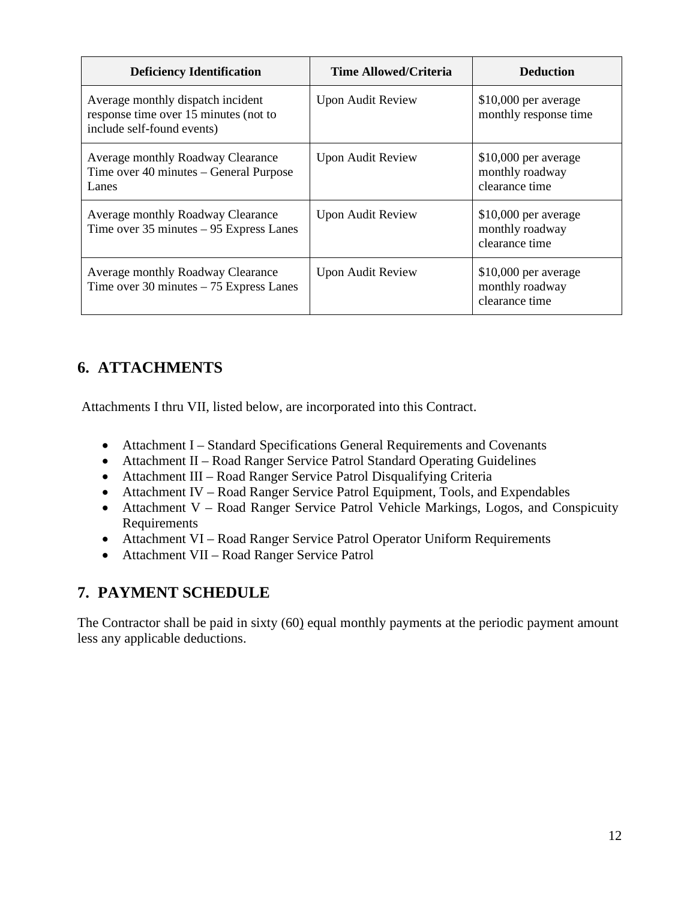| <b>Deficiency Identification</b>                                                                         | <b>Time Allowed/Criteria</b> | <b>Deduction</b>                                           |
|----------------------------------------------------------------------------------------------------------|------------------------------|------------------------------------------------------------|
| Average monthly dispatch incident<br>response time over 15 minutes (not to<br>include self-found events) | <b>Upon Audit Review</b>     | $$10,000$ per average<br>monthly response time             |
| Average monthly Roadway Clearance<br>Time over 40 minutes – General Purpose<br>Lanes                     | <b>Upon Audit Review</b>     | \$10,000 per average<br>monthly roadway<br>clearance time  |
| Average monthly Roadway Clearance<br>Time over $35$ minutes $-95$ Express Lanes                          | <b>Upon Audit Review</b>     | $$10,000$ per average<br>monthly roadway<br>clearance time |
| Average monthly Roadway Clearance<br>Time over 30 minutes $-75$ Express Lanes                            | <b>Upon Audit Review</b>     | $$10,000$ per average<br>monthly roadway<br>clearance time |

# **6. ATTACHMENTS**

Attachments I thru VII, listed below, are incorporated into this Contract.

- Attachment I Standard Specifications General Requirements and Covenants
- Attachment II Road Ranger Service Patrol Standard Operating Guidelines
- Attachment III Road Ranger Service Patrol Disqualifying Criteria
- Attachment IV Road Ranger Service Patrol Equipment, Tools, and Expendables
- Attachment V Road Ranger Service Patrol Vehicle Markings, Logos, and Conspicuity Requirements
- Attachment VI Road Ranger Service Patrol Operator Uniform Requirements
- Attachment VII Road Ranger Service Patrol

#### **7. PAYMENT SCHEDULE**

The Contractor shall be paid in sixty (60) equal monthly payments at the periodic payment amount less any applicable deductions.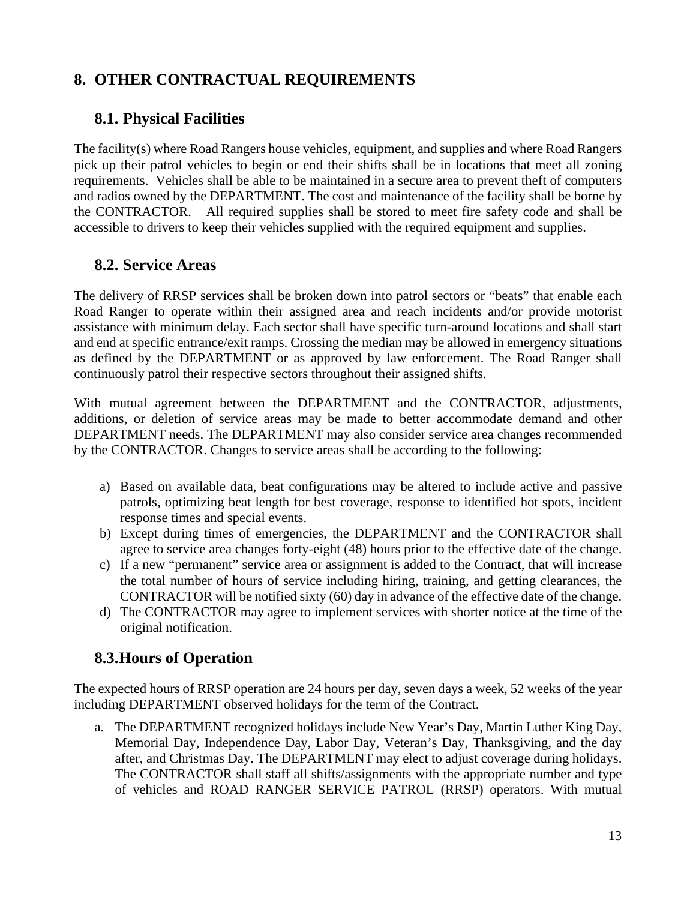# **8. OTHER CONTRACTUAL REQUIREMENTS**

#### **8.1. Physical Facilities**

The facility(s) where Road Rangers house vehicles, equipment, and supplies and where Road Rangers pick up their patrol vehicles to begin or end their shifts shall be in locations that meet all zoning requirements. Vehicles shall be able to be maintained in a secure area to prevent theft of computers and radios owned by the DEPARTMENT. The cost and maintenance of the facility shall be borne by the CONTRACTOR. All required supplies shall be stored to meet fire safety code and shall be accessible to drivers to keep their vehicles supplied with the required equipment and supplies.

#### **8.2. Service Areas**

The delivery of RRSP services shall be broken down into patrol sectors or "beats" that enable each Road Ranger to operate within their assigned area and reach incidents and/or provide motorist assistance with minimum delay. Each sector shall have specific turn-around locations and shall start and end at specific entrance/exit ramps. Crossing the median may be allowed in emergency situations as defined by the DEPARTMENT or as approved by law enforcement. The Road Ranger shall continuously patrol their respective sectors throughout their assigned shifts.

With mutual agreement between the DEPARTMENT and the CONTRACTOR, adjustments, additions, or deletion of service areas may be made to better accommodate demand and other DEPARTMENT needs. The DEPARTMENT may also consider service area changes recommended by the CONTRACTOR. Changes to service areas shall be according to the following:

- a) Based on available data, beat configurations may be altered to include active and passive patrols, optimizing beat length for best coverage, response to identified hot spots, incident response times and special events.
- b) Except during times of emergencies, the DEPARTMENT and the CONTRACTOR shall agree to service area changes forty-eight (48) hours prior to the effective date of the change.
- c) If a new "permanent" service area or assignment is added to the Contract, that will increase the total number of hours of service including hiring, training, and getting clearances, the CONTRACTOR will be notified sixty (60) day in advance of the effective date of the change.
- d) The CONTRACTOR may agree to implement services with shorter notice at the time of the original notification.

## **8.3.Hours of Operation**

The expected hours of RRSP operation are 24 hours per day, seven days a week, 52 weeks of the year including DEPARTMENT observed holidays for the term of the Contract.

a. The DEPARTMENT recognized holidays include New Year's Day, Martin Luther King Day, Memorial Day, Independence Day, Labor Day, Veteran's Day, Thanksgiving, and the day after, and Christmas Day. The DEPARTMENT may elect to adjust coverage during holidays. The CONTRACTOR shall staff all shifts/assignments with the appropriate number and type of vehicles and ROAD RANGER SERVICE PATROL (RRSP) operators. With mutual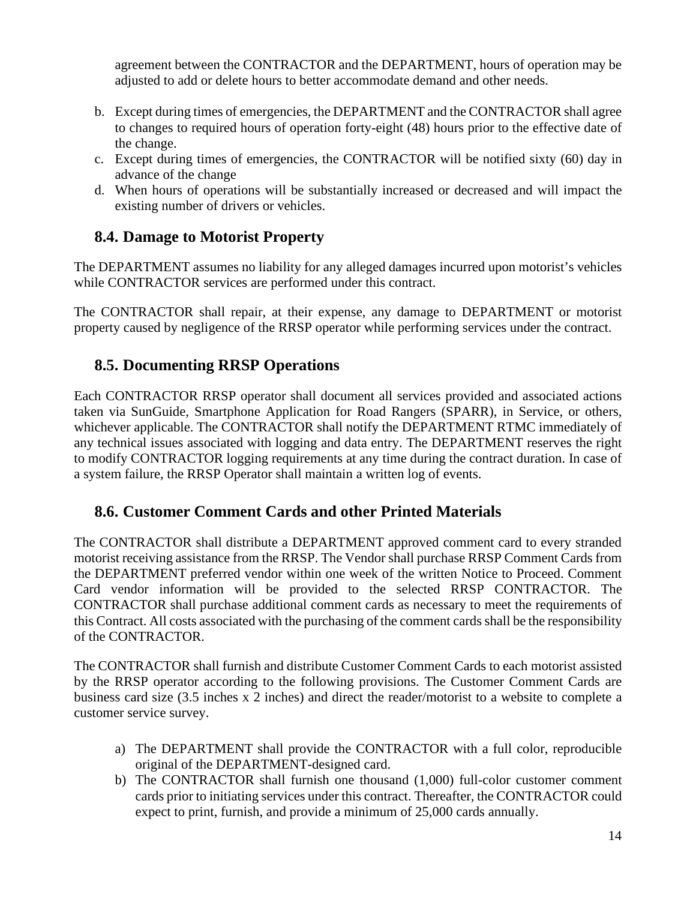agreement between the CONTRACTOR and the DEPARTMENT, hours of operation may be adjusted to add or delete hours to better accommodate demand and other needs.

- b. Except during times of emergencies, the DEPARTMENT and the CONTRACTOR shall agree to changes to required hours of operation forty-eight (48) hours prior to the effective date of the change.
- c. Except during times of emergencies, the CONTRACTOR will be notified sixty (60) day in advance of the change
- d. When hours of operations will be substantially increased or decreased and will impact the existing number of drivers or vehicles.

## **8.4. Damage to Motorist Property**

The DEPARTMENT assumes no liability for any alleged damages incurred upon motorist's vehicles while CONTRACTOR services are performed under this contract.

The CONTRACTOR shall repair, at their expense, any damage to DEPARTMENT or motorist property caused by negligence of the RRSP operator while performing services under the contract.

## **8.5. Documenting RRSP Operations**

Each CONTRACTOR RRSP operator shall document all services provided and associated actions taken via SunGuide, Smartphone Application for Road Rangers (SPARR), in Service, or others, whichever applicable. The CONTRACTOR shall notify the DEPARTMENT RTMC immediately of any technical issues associated with logging and data entry. The DEPARTMENT reserves the right to modify CONTRACTOR logging requirements at any time during the contract duration. In case of a system failure, the RRSP Operator shall maintain a written log of events.

#### **8.6. Customer Comment Cards and other Printed Materials**

The CONTRACTOR shall distribute a DEPARTMENT approved comment card to every stranded motorist receiving assistance from the RRSP. The Vendor shall purchase RRSP Comment Cards from the DEPARTMENT preferred vendor within one week of the written Notice to Proceed. Comment Card vendor information will be provided to the selected RRSP CONTRACTOR. The CONTRACTOR shall purchase additional comment cards as necessary to meet the requirements of this Contract. All costs associated with the purchasing of the comment cards shall be the responsibility of the CONTRACTOR.

The CONTRACTOR shall furnish and distribute Customer Comment Cards to each motorist assisted by the RRSP operator according to the following provisions. The Customer Comment Cards are business card size (3.5 inches x 2 inches) and direct the reader/motorist to a website to complete a customer service survey.

- a) The DEPARTMENT shall provide the CONTRACTOR with a full color, reproducible original of the DEPARTMENT-designed card.
- b) The CONTRACTOR shall furnish one thousand (1,000) full-color customer comment cards prior to initiating services under this contract. Thereafter, the CONTRACTOR could expect to print, furnish, and provide a minimum of 25,000 cards annually.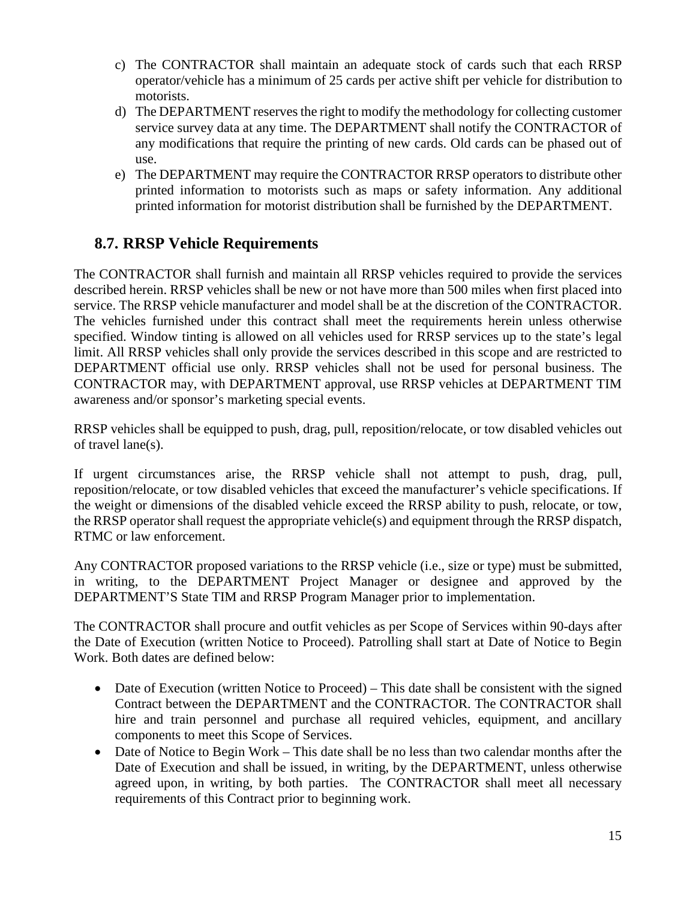- c) The CONTRACTOR shall maintain an adequate stock of cards such that each RRSP operator/vehicle has a minimum of 25 cards per active shift per vehicle for distribution to motorists.
- d) The DEPARTMENT reserves the right to modify the methodology for collecting customer service survey data at any time. The DEPARTMENT shall notify the CONTRACTOR of any modifications that require the printing of new cards. Old cards can be phased out of use.
- e) The DEPARTMENT may require the CONTRACTOR RRSP operators to distribute other printed information to motorists such as maps or safety information. Any additional printed information for motorist distribution shall be furnished by the DEPARTMENT.

## **8.7. RRSP Vehicle Requirements**

The CONTRACTOR shall furnish and maintain all RRSP vehicles required to provide the services described herein. RRSP vehicles shall be new or not have more than 500 miles when first placed into service. The RRSP vehicle manufacturer and model shall be at the discretion of the CONTRACTOR. The vehicles furnished under this contract shall meet the requirements herein unless otherwise specified. Window tinting is allowed on all vehicles used for RRSP services up to the state's legal limit. All RRSP vehicles shall only provide the services described in this scope and are restricted to DEPARTMENT official use only. RRSP vehicles shall not be used for personal business. The CONTRACTOR may, with DEPARTMENT approval, use RRSP vehicles at DEPARTMENT TIM awareness and/or sponsor's marketing special events.

RRSP vehicles shall be equipped to push, drag, pull, reposition/relocate, or tow disabled vehicles out of travel lane(s).

If urgent circumstances arise, the RRSP vehicle shall not attempt to push, drag, pull, reposition/relocate, or tow disabled vehicles that exceed the manufacturer's vehicle specifications. If the weight or dimensions of the disabled vehicle exceed the RRSP ability to push, relocate, or tow, the RRSP operator shall request the appropriate vehicle(s) and equipment through the RRSP dispatch, RTMC or law enforcement.

Any CONTRACTOR proposed variations to the RRSP vehicle (i.e., size or type) must be submitted, in writing, to the DEPARTMENT Project Manager or designee and approved by the DEPARTMENT'S State TIM and RRSP Program Manager prior to implementation.

The CONTRACTOR shall procure and outfit vehicles as per Scope of Services within 90-days after the Date of Execution (written Notice to Proceed). Patrolling shall start at Date of Notice to Begin Work. Both dates are defined below:

- Date of Execution (written Notice to Proceed) This date shall be consistent with the signed Contract between the DEPARTMENT and the CONTRACTOR. The CONTRACTOR shall hire and train personnel and purchase all required vehicles, equipment, and ancillary components to meet this Scope of Services.
- Date of Notice to Begin Work This date shall be no less than two calendar months after the Date of Execution and shall be issued, in writing, by the DEPARTMENT, unless otherwise agreed upon, in writing, by both parties. The CONTRACTOR shall meet all necessary requirements of this Contract prior to beginning work.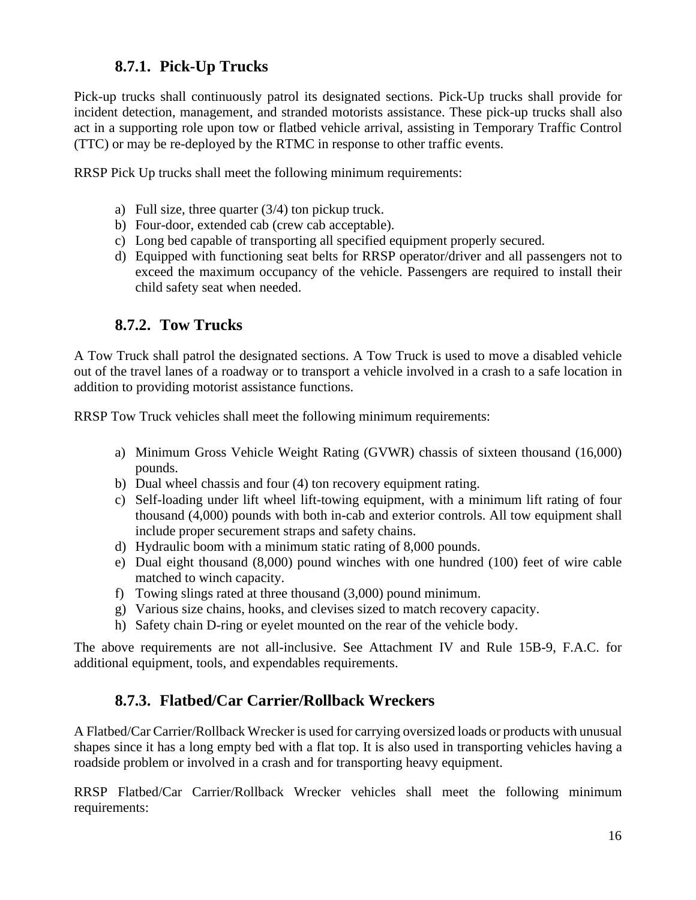#### **8.7.1. Pick-Up Trucks**

Pick-up trucks shall continuously patrol its designated sections. Pick-Up trucks shall provide for incident detection, management, and stranded motorists assistance. These pick-up trucks shall also act in a supporting role upon tow or flatbed vehicle arrival, assisting in Temporary Traffic Control (TTC) or may be re-deployed by the RTMC in response to other traffic events.

RRSP Pick Up trucks shall meet the following minimum requirements:

- a) Full size, three quarter (3/4) ton pickup truck.
- b) Four-door, extended cab (crew cab acceptable).
- c) Long bed capable of transporting all specified equipment properly secured.
- d) Equipped with functioning seat belts for RRSP operator/driver and all passengers not to exceed the maximum occupancy of the vehicle. Passengers are required to install their child safety seat when needed.

#### **8.7.2. Tow Trucks**

A Tow Truck shall patrol the designated sections. A Tow Truck is used to move a disabled vehicle out of the travel lanes of a roadway or to transport a vehicle involved in a crash to a safe location in addition to providing motorist assistance functions.

RRSP Tow Truck vehicles shall meet the following minimum requirements:

- a) Minimum Gross Vehicle Weight Rating (GVWR) chassis of sixteen thousand (16,000) pounds.
- b) Dual wheel chassis and four (4) ton recovery equipment rating.
- c) Self-loading under lift wheel lift-towing equipment, with a minimum lift rating of four thousand (4,000) pounds with both in-cab and exterior controls. All tow equipment shall include proper securement straps and safety chains.
- d) Hydraulic boom with a minimum static rating of 8,000 pounds.
- e) Dual eight thousand (8,000) pound winches with one hundred (100) feet of wire cable matched to winch capacity.
- f) Towing slings rated at three thousand (3,000) pound minimum.
- g) Various size chains, hooks, and clevises sized to match recovery capacity.
- h) Safety chain D-ring or eyelet mounted on the rear of the vehicle body.

The above requirements are not all-inclusive. See Attachment IV and Rule 15B-9, F.A.C. for additional equipment, tools, and expendables requirements.

#### **8.7.3. Flatbed/Car Carrier/Rollback Wreckers**

A Flatbed/Car Carrier/Rollback Wrecker is used for carrying oversized loads or products with unusual shapes since it has a long empty bed with a flat top. It is also used in transporting vehicles having a roadside problem or involved in a crash and for transporting heavy equipment.

RRSP Flatbed/Car Carrier/Rollback Wrecker vehicles shall meet the following minimum requirements: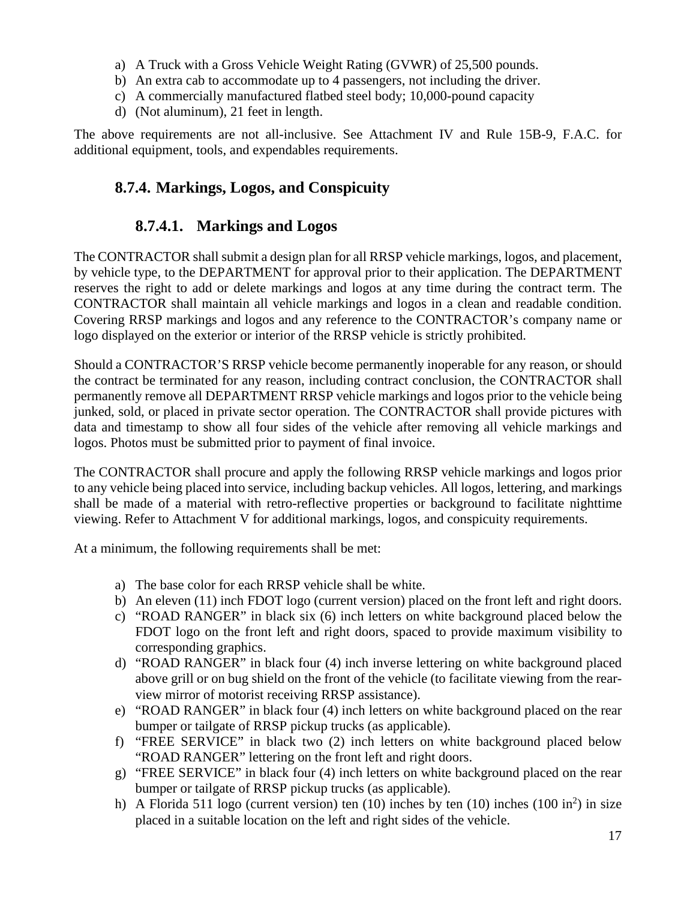- a) A Truck with a Gross Vehicle Weight Rating (GVWR) of 25,500 pounds.
- b) An extra cab to accommodate up to 4 passengers, not including the driver.
- c) A commercially manufactured flatbed steel body; 10,000-pound capacity
- d) (Not aluminum), 21 feet in length.

The above requirements are not all-inclusive. See Attachment IV and Rule 15B-9, F.A.C. for additional equipment, tools, and expendables requirements.

## **8.7.4. Markings, Logos, and Conspicuity**

#### **8.7.4.1. Markings and Logos**

The CONTRACTOR shall submit a design plan for all RRSP vehicle markings, logos, and placement, by vehicle type, to the DEPARTMENT for approval prior to their application. The DEPARTMENT reserves the right to add or delete markings and logos at any time during the contract term. The CONTRACTOR shall maintain all vehicle markings and logos in a clean and readable condition. Covering RRSP markings and logos and any reference to the CONTRACTOR's company name or logo displayed on the exterior or interior of the RRSP vehicle is strictly prohibited.

Should a CONTRACTOR'S RRSP vehicle become permanently inoperable for any reason, or should the contract be terminated for any reason, including contract conclusion, the CONTRACTOR shall permanently remove all DEPARTMENT RRSP vehicle markings and logos prior to the vehicle being junked, sold, or placed in private sector operation. The CONTRACTOR shall provide pictures with data and timestamp to show all four sides of the vehicle after removing all vehicle markings and logos. Photos must be submitted prior to payment of final invoice.

The CONTRACTOR shall procure and apply the following RRSP vehicle markings and logos prior to any vehicle being placed into service, including backup vehicles. All logos, lettering, and markings shall be made of a material with retro-reflective properties or background to facilitate nighttime viewing. Refer to Attachment V for additional markings, logos, and conspicuity requirements.

At a minimum, the following requirements shall be met:

- a) The base color for each RRSP vehicle shall be white.
- b) An eleven (11) inch FDOT logo (current version) placed on the front left and right doors.
- c) "ROAD RANGER" in black six (6) inch letters on white background placed below the FDOT logo on the front left and right doors, spaced to provide maximum visibility to corresponding graphics.
- d) "ROAD RANGER" in black four (4) inch inverse lettering on white background placed above grill or on bug shield on the front of the vehicle (to facilitate viewing from the rearview mirror of motorist receiving RRSP assistance).
- e) "ROAD RANGER" in black four (4) inch letters on white background placed on the rear bumper or tailgate of RRSP pickup trucks (as applicable).
- f) "FREE SERVICE" in black two (2) inch letters on white background placed below "ROAD RANGER" lettering on the front left and right doors.
- g) "FREE SERVICE" in black four (4) inch letters on white background placed on the rear bumper or tailgate of RRSP pickup trucks (as applicable).
- h) A Florida 511 logo (current version) ten  $(10)$  inches by ten  $(10)$  inches  $(100 \text{ in}^2)$  in size placed in a suitable location on the left and right sides of the vehicle.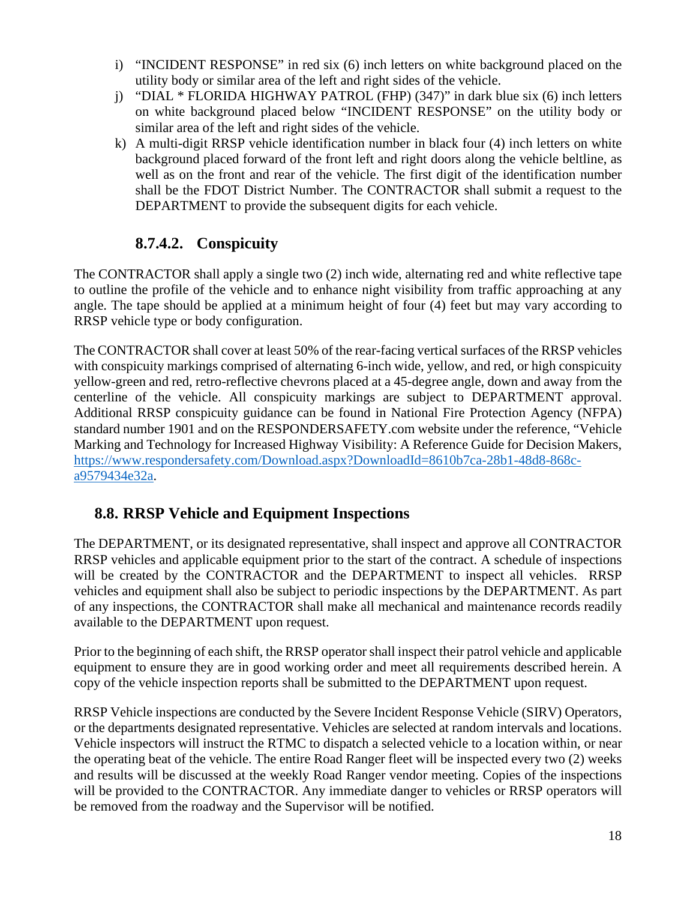- i) "INCIDENT RESPONSE" in red six (6) inch letters on white background placed on the utility body or similar area of the left and right sides of the vehicle.
- j) "DIAL \* FLORIDA HIGHWAY PATROL (FHP) (347)" in dark blue six (6) inch letters on white background placed below "INCIDENT RESPONSE" on the utility body or similar area of the left and right sides of the vehicle.
- k) A multi-digit RRSP vehicle identification number in black four (4) inch letters on white background placed forward of the front left and right doors along the vehicle beltline, as well as on the front and rear of the vehicle. The first digit of the identification number shall be the FDOT District Number. The CONTRACTOR shall submit a request to the DEPARTMENT to provide the subsequent digits for each vehicle.

## **8.7.4.2. Conspicuity**

The CONTRACTOR shall apply a single two (2) inch wide, alternating red and white reflective tape to outline the profile of the vehicle and to enhance night visibility from traffic approaching at any angle. The tape should be applied at a minimum height of four (4) feet but may vary according to RRSP vehicle type or body configuration.

The CONTRACTOR shall cover at least 50% of the rear-facing vertical surfaces of the RRSP vehicles with conspicuity markings comprised of alternating 6-inch wide, yellow, and red, or high conspicuity yellow-green and red, retro-reflective chevrons placed at a 45-degree angle, down and away from the centerline of the vehicle. All conspicuity markings are subject to DEPARTMENT approval. Additional RRSP conspicuity guidance can be found in National Fire Protection Agency (NFPA) standard number 1901 and on the RESPONDERSAFETY.com website under the reference, "Vehicle Marking and Technology for Increased Highway Visibility: A Reference Guide for Decision Makers, [https://www.respondersafety.com/Download.aspx?DownloadId=8610b7ca-28b1-48d8-868c](https://www.respondersafety.com/Download.aspx?DownloadId=8610b7ca-28b1-48d8-868c-a9579434e32a)[a9579434e32a.](https://www.respondersafety.com/Download.aspx?DownloadId=8610b7ca-28b1-48d8-868c-a9579434e32a)

## **8.8. RRSP Vehicle and Equipment Inspections**

The DEPARTMENT, or its designated representative, shall inspect and approve all CONTRACTOR RRSP vehicles and applicable equipment prior to the start of the contract. A schedule of inspections will be created by the CONTRACTOR and the DEPARTMENT to inspect all vehicles. RRSP vehicles and equipment shall also be subject to periodic inspections by the DEPARTMENT. As part of any inspections, the CONTRACTOR shall make all mechanical and maintenance records readily available to the DEPARTMENT upon request.

Prior to the beginning of each shift, the RRSP operator shall inspect their patrol vehicle and applicable equipment to ensure they are in good working order and meet all requirements described herein. A copy of the vehicle inspection reports shall be submitted to the DEPARTMENT upon request.

RRSP Vehicle inspections are conducted by the Severe Incident Response Vehicle (SIRV) Operators, or the departments designated representative. Vehicles are selected at random intervals and locations. Vehicle inspectors will instruct the RTMC to dispatch a selected vehicle to a location within, or near the operating beat of the vehicle. The entire Road Ranger fleet will be inspected every two (2) weeks and results will be discussed at the weekly Road Ranger vendor meeting. Copies of the inspections will be provided to the CONTRACTOR. Any immediate danger to vehicles or RRSP operators will be removed from the roadway and the Supervisor will be notified.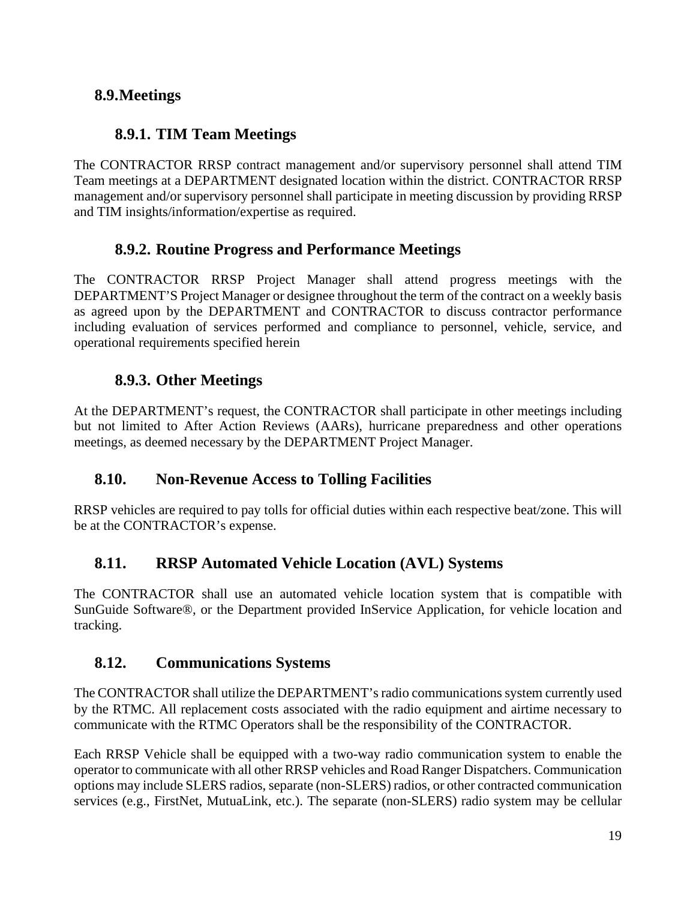## **8.9.Meetings**

## **8.9.1. TIM Team Meetings**

The CONTRACTOR RRSP contract management and/or supervisory personnel shall attend TIM Team meetings at a DEPARTMENT designated location within the district. CONTRACTOR RRSP management and/or supervisory personnel shall participate in meeting discussion by providing RRSP and TIM insights/information/expertise as required.

## **8.9.2. Routine Progress and Performance Meetings**

The CONTRACTOR RRSP Project Manager shall attend progress meetings with the DEPARTMENT'S Project Manager or designee throughout the term of the contract on a weekly basis as agreed upon by the DEPARTMENT and CONTRACTOR to discuss contractor performance including evaluation of services performed and compliance to personnel, vehicle, service, and operational requirements specified herein

## **8.9.3. Other Meetings**

At the DEPARTMENT's request, the CONTRACTOR shall participate in other meetings including but not limited to After Action Reviews (AARs), hurricane preparedness and other operations meetings, as deemed necessary by the DEPARTMENT Project Manager.

# **8.10. Non-Revenue Access to Tolling Facilities**

RRSP vehicles are required to pay tolls for official duties within each respective beat/zone. This will be at the CONTRACTOR's expense.

# **8.11. RRSP Automated Vehicle Location (AVL) Systems**

The CONTRACTOR shall use an automated vehicle location system that is compatible with SunGuide Software®, or the Department provided InService Application, for vehicle location and tracking.

## **8.12. Communications Systems**

The CONTRACTOR shall utilize the DEPARTMENT's radio communications system currently used by the RTMC. All replacement costs associated with the radio equipment and airtime necessary to communicate with the RTMC Operators shall be the responsibility of the CONTRACTOR.

Each RRSP Vehicle shall be equipped with a two-way radio communication system to enable the operator to communicate with all other RRSP vehicles and Road Ranger Dispatchers. Communication options may include SLERS radios, separate (non-SLERS) radios, or other contracted communication services (e.g., FirstNet, MutuaLink, etc.). The separate (non-SLERS) radio system may be cellular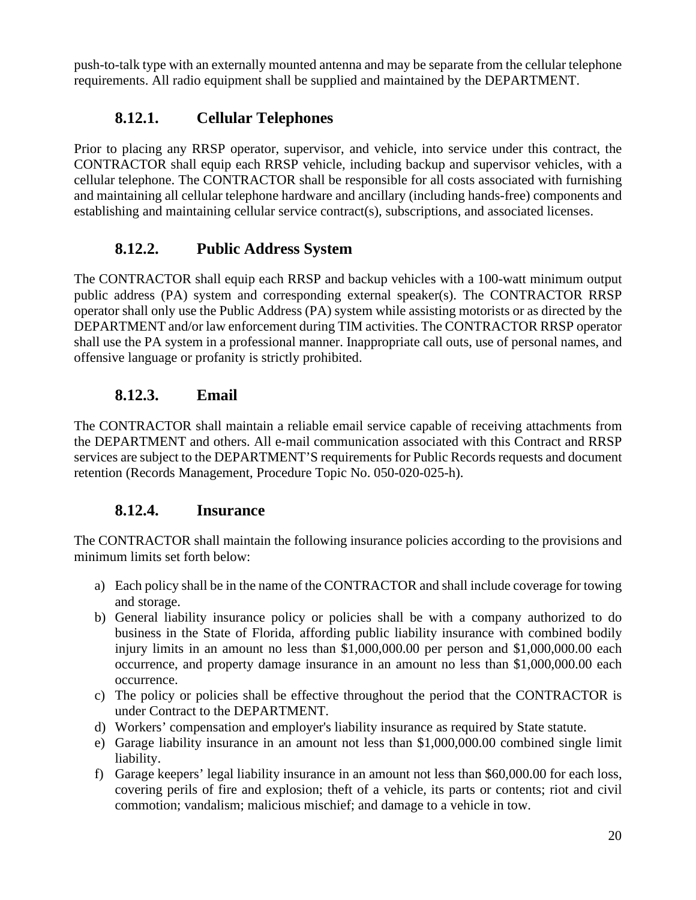push-to-talk type with an externally mounted antenna and may be separate from the cellular telephone requirements. All radio equipment shall be supplied and maintained by the DEPARTMENT.

## **8.12.1. Cellular Telephones**

Prior to placing any RRSP operator, supervisor, and vehicle, into service under this contract, the CONTRACTOR shall equip each RRSP vehicle, including backup and supervisor vehicles, with a cellular telephone. The CONTRACTOR shall be responsible for all costs associated with furnishing and maintaining all cellular telephone hardware and ancillary (including hands-free) components and establishing and maintaining cellular service contract(s), subscriptions, and associated licenses.

## **8.12.2. Public Address System**

The CONTRACTOR shall equip each RRSP and backup vehicles with a 100-watt minimum output public address (PA) system and corresponding external speaker(s). The CONTRACTOR RRSP operator shall only use the Public Address (PA) system while assisting motorists or as directed by the DEPARTMENT and/or law enforcement during TIM activities. The CONTRACTOR RRSP operator shall use the PA system in a professional manner. Inappropriate call outs, use of personal names, and offensive language or profanity is strictly prohibited.

#### **8.12.3. Email**

The CONTRACTOR shall maintain a reliable email service capable of receiving attachments from the DEPARTMENT and others. All e-mail communication associated with this Contract and RRSP services are subject to the DEPARTMENT'S requirements for Public Records requests and document retention (Records Management, Procedure Topic No. 050-020-025-h).

#### **8.12.4. Insurance**

The CONTRACTOR shall maintain the following insurance policies according to the provisions and minimum limits set forth below:

- a) Each policy shall be in the name of the CONTRACTOR and shall include coverage for towing and storage.
- b) General liability insurance policy or policies shall be with a company authorized to do business in the State of Florida, affording public liability insurance with combined bodily injury limits in an amount no less than \$1,000,000.00 per person and \$1,000,000.00 each occurrence, and property damage insurance in an amount no less than \$1,000,000.00 each occurrence.
- c) The policy or policies shall be effective throughout the period that the CONTRACTOR is under Contract to the DEPARTMENT.
- d) Workers' compensation and employer's liability insurance as required by State statute.
- e) Garage liability insurance in an amount not less than \$1,000,000.00 combined single limit liability.
- f) Garage keepers' legal liability insurance in an amount not less than \$60,000.00 for each loss, covering perils of fire and explosion; theft of a vehicle, its parts or contents; riot and civil commotion; vandalism; malicious mischief; and damage to a vehicle in tow.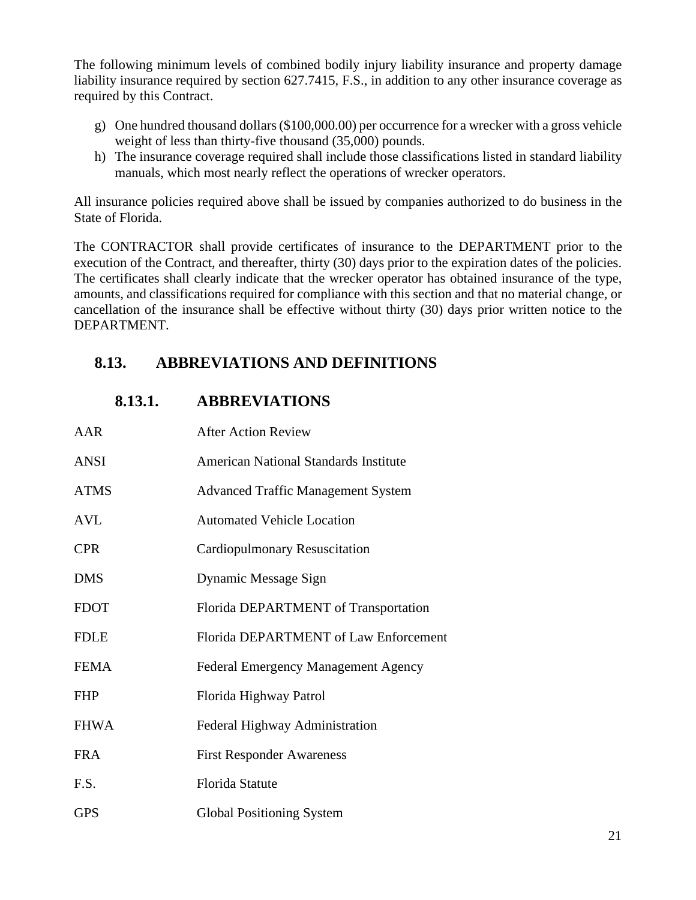The following minimum levels of combined bodily injury liability insurance and property damage liability insurance required by section 627.7415, F.S., in addition to any other insurance coverage as required by this Contract.

- g) One hundred thousand dollars (\$100,000.00) per occurrence for a wrecker with a gross vehicle weight of less than thirty-five thousand (35,000) pounds.
- h) The insurance coverage required shall include those classifications listed in standard liability manuals, which most nearly reflect the operations of wrecker operators.

All insurance policies required above shall be issued by companies authorized to do business in the State of Florida.

The CONTRACTOR shall provide certificates of insurance to the DEPARTMENT prior to the execution of the Contract, and thereafter, thirty (30) days prior to the expiration dates of the policies. The certificates shall clearly indicate that the wrecker operator has obtained insurance of the type, amounts, and classifications required for compliance with this section and that no material change, or cancellation of the insurance shall be effective without thirty (30) days prior written notice to the DEPARTMENT.

## **8.13. ABBREVIATIONS AND DEFINITIONS**

| AAR         | After Action Review                          |
|-------------|----------------------------------------------|
| <b>ANSI</b> | <b>American National Standards Institute</b> |
| <b>ATMS</b> | <b>Advanced Traffic Management System</b>    |
| <b>AVL</b>  | <b>Automated Vehicle Location</b>            |
| <b>CPR</b>  | <b>Cardiopulmonary Resuscitation</b>         |
| <b>DMS</b>  | Dynamic Message Sign                         |
| <b>FDOT</b> | Florida DEPARTMENT of Transportation         |
| <b>FDLE</b> | Florida DEPARTMENT of Law Enforcement        |
| <b>FEMA</b> | <b>Federal Emergency Management Agency</b>   |
| <b>FHP</b>  | Florida Highway Patrol                       |
| <b>FHWA</b> | Federal Highway Administration               |
| <b>FRA</b>  | <b>First Responder Awareness</b>             |
| F.S.        | <b>Florida Statute</b>                       |
| <b>GPS</b>  | <b>Global Positioning System</b>             |

#### **8.13.1. ABBREVIATIONS**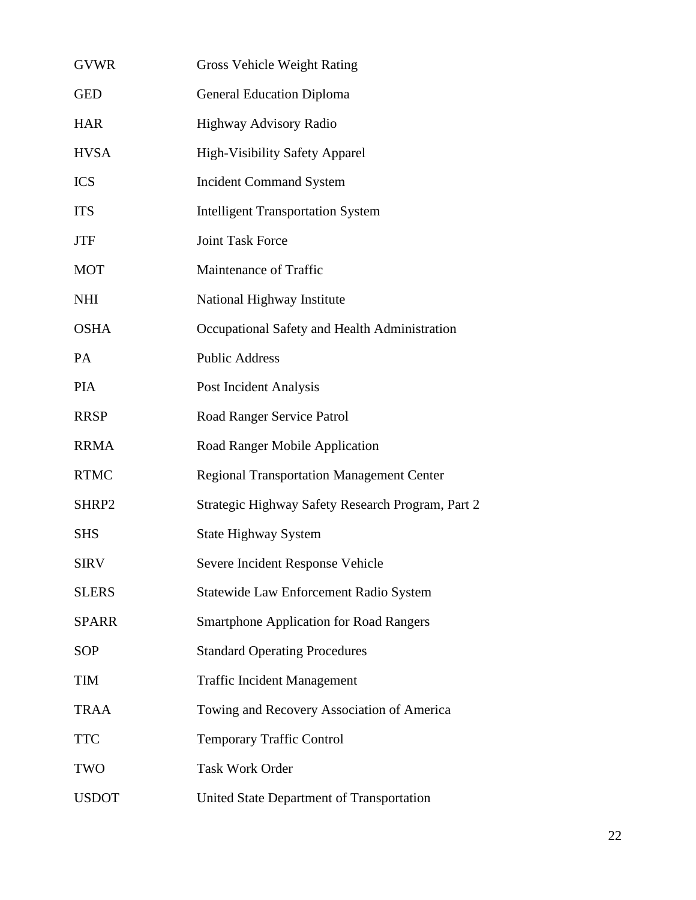| <b>GVWR</b>  | <b>Gross Vehicle Weight Rating</b>                |
|--------------|---------------------------------------------------|
| <b>GED</b>   | <b>General Education Diploma</b>                  |
| <b>HAR</b>   | <b>Highway Advisory Radio</b>                     |
| <b>HVSA</b>  | <b>High-Visibility Safety Apparel</b>             |
| <b>ICS</b>   | <b>Incident Command System</b>                    |
| <b>ITS</b>   | <b>Intelligent Transportation System</b>          |
| <b>JTF</b>   | <b>Joint Task Force</b>                           |
| <b>MOT</b>   | Maintenance of Traffic                            |
| <b>NHI</b>   | National Highway Institute                        |
| <b>OSHA</b>  | Occupational Safety and Health Administration     |
| PA           | <b>Public Address</b>                             |
| <b>PIA</b>   | Post Incident Analysis                            |
| <b>RRSP</b>  | Road Ranger Service Patrol                        |
| <b>RRMA</b>  | Road Ranger Mobile Application                    |
| <b>RTMC</b>  | <b>Regional Transportation Management Center</b>  |
| SHRP2        | Strategic Highway Safety Research Program, Part 2 |
| <b>SHS</b>   | <b>State Highway System</b>                       |
| <b>SIRV</b>  | Severe Incident Response Vehicle                  |
| <b>SLERS</b> | Statewide Law Enforcement Radio System            |
| <b>SPARR</b> | <b>Smartphone Application for Road Rangers</b>    |
| <b>SOP</b>   | <b>Standard Operating Procedures</b>              |
| <b>TIM</b>   | <b>Traffic Incident Management</b>                |
| <b>TRAA</b>  | Towing and Recovery Association of America        |
| <b>TTC</b>   | <b>Temporary Traffic Control</b>                  |
| <b>TWO</b>   | <b>Task Work Order</b>                            |
| <b>USDOT</b> | United State Department of Transportation         |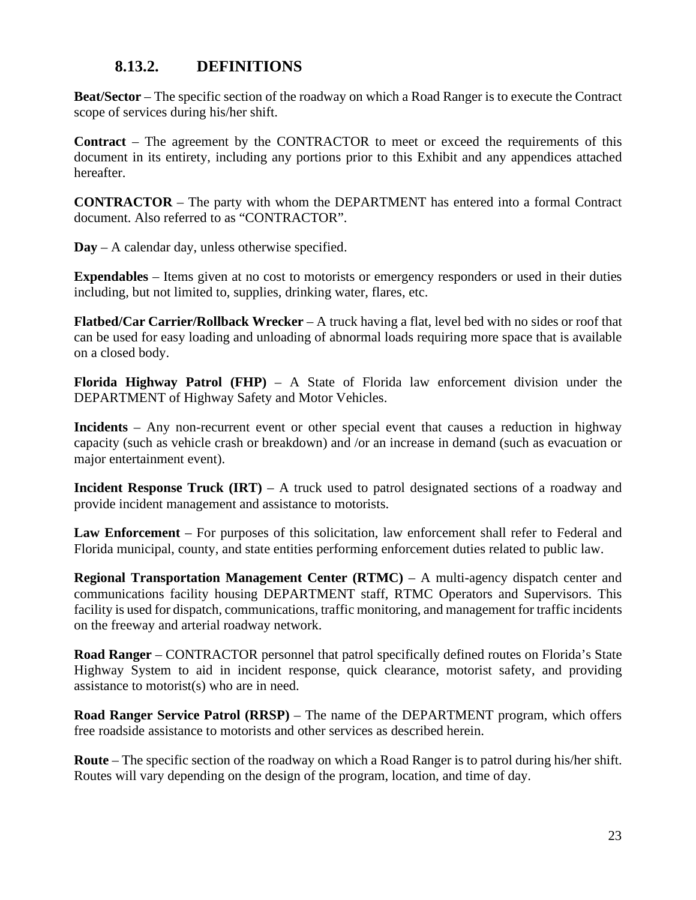#### **8.13.2. DEFINITIONS**

**Beat/Sector** – The specific section of the roadway on which a Road Ranger is to execute the Contract scope of services during his/her shift.

**Contract** – The agreement by the CONTRACTOR to meet or exceed the requirements of this document in its entirety, including any portions prior to this Exhibit and any appendices attached hereafter.

**CONTRACTOR** – The party with whom the DEPARTMENT has entered into a formal Contract document. Also referred to as "CONTRACTOR".

**Day** – A calendar day, unless otherwise specified.

**Expendables** – Items given at no cost to motorists or emergency responders or used in their duties including, but not limited to, supplies, drinking water, flares, etc.

**Flatbed/Car Carrier/Rollback Wrecker** – A truck having a flat, level bed with no sides or roof that can be used for easy loading and unloading of abnormal loads requiring more space that is available on a closed body.

**Florida Highway Patrol (FHP)** – A State of Florida law enforcement division under the DEPARTMENT of Highway Safety and Motor Vehicles.

**Incidents** – Any non-recurrent event or other special event that causes a reduction in highway capacity (such as vehicle crash or breakdown) and /or an increase in demand (such as evacuation or major entertainment event).

**Incident Response Truck (IRT)** – A truck used to patrol designated sections of a roadway and provide incident management and assistance to motorists.

**Law Enforcement** – For purposes of this solicitation, law enforcement shall refer to Federal and Florida municipal, county, and state entities performing enforcement duties related to public law.

**Regional Transportation Management Center (RTMC)** – A multi-agency dispatch center and communications facility housing DEPARTMENT staff, RTMC Operators and Supervisors. This facility is used for dispatch, communications, traffic monitoring, and management for traffic incidents on the freeway and arterial roadway network.

**Road Ranger** – CONTRACTOR personnel that patrol specifically defined routes on Florida's State Highway System to aid in incident response, quick clearance, motorist safety, and providing assistance to motorist(s) who are in need.

**Road Ranger Service Patrol (RRSP)** – The name of the DEPARTMENT program, which offers free roadside assistance to motorists and other services as described herein.

**Route** – The specific section of the roadway on which a Road Ranger is to patrol during his/her shift. Routes will vary depending on the design of the program, location, and time of day.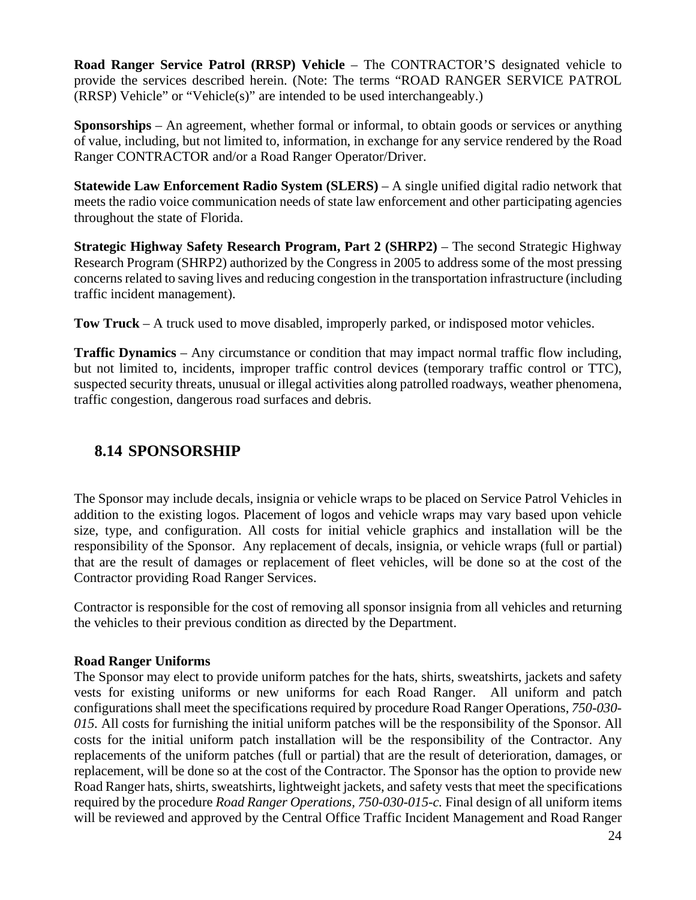**Road Ranger Service Patrol (RRSP) Vehicle** – The CONTRACTOR'S designated vehicle to provide the services described herein. (Note: The terms "ROAD RANGER SERVICE PATROL (RRSP) Vehicle" or "Vehicle(s)" are intended to be used interchangeably.)

**Sponsorships** – An agreement, whether formal or informal, to obtain goods or services or anything of value, including, but not limited to, information, in exchange for any service rendered by the Road Ranger CONTRACTOR and/or a Road Ranger Operator/Driver.

**Statewide Law Enforcement Radio System (SLERS)** – A single unified digital radio network that meets the radio voice communication needs of state law enforcement and other participating agencies throughout the state of Florida.

**Strategic Highway Safety Research Program, Part 2 (SHRP2)** – The second Strategic Highway Research Program (SHRP2) authorized by the Congress in 2005 to address some of the most pressing concerns related to saving lives and reducing congestion in the transportation infrastructure (including traffic incident management).

**Tow Truck** – A truck used to move disabled, improperly parked, or indisposed motor vehicles.

**Traffic Dynamics** – Any circumstance or condition that may impact normal traffic flow including, but not limited to, incidents, improper traffic control devices (temporary traffic control or TTC), suspected security threats, unusual or illegal activities along patrolled roadways, weather phenomena, traffic congestion, dangerous road surfaces and debris.

## **8.14 SPONSORSHIP**

The Sponsor may include decals, insignia or vehicle wraps to be placed on Service Patrol Vehicles in addition to the existing logos. Placement of logos and vehicle wraps may vary based upon vehicle size, type, and configuration. All costs for initial vehicle graphics and installation will be the responsibility of the Sponsor. Any replacement of decals, insignia, or vehicle wraps (full or partial) that are the result of damages or replacement of fleet vehicles, will be done so at the cost of the Contractor providing Road Ranger Services.

Contractor is responsible for the cost of removing all sponsor insignia from all vehicles and returning the vehicles to their previous condition as directed by the Department.

#### **Road Ranger Uniforms**

The Sponsor may elect to provide uniform patches for the hats, shirts, sweatshirts, jackets and safety vests for existing uniforms or new uniforms for each Road Ranger. All uniform and patch configurations shall meet the specifications required by procedure Road Ranger Operations, *750-030- 015.* All costs for furnishing the initial uniform patches will be the responsibility of the Sponsor. All costs for the initial uniform patch installation will be the responsibility of the Contractor. Any replacements of the uniform patches (full or partial) that are the result of deterioration, damages, or replacement, will be done so at the cost of the Contractor. The Sponsor has the option to provide new Road Ranger hats, shirts, sweatshirts, lightweight jackets, and safety vests that meet the specifications required by the procedure *Road Ranger Operations, 750-030-015-c.* Final design of all uniform items will be reviewed and approved by the Central Office Traffic Incident Management and Road Ranger